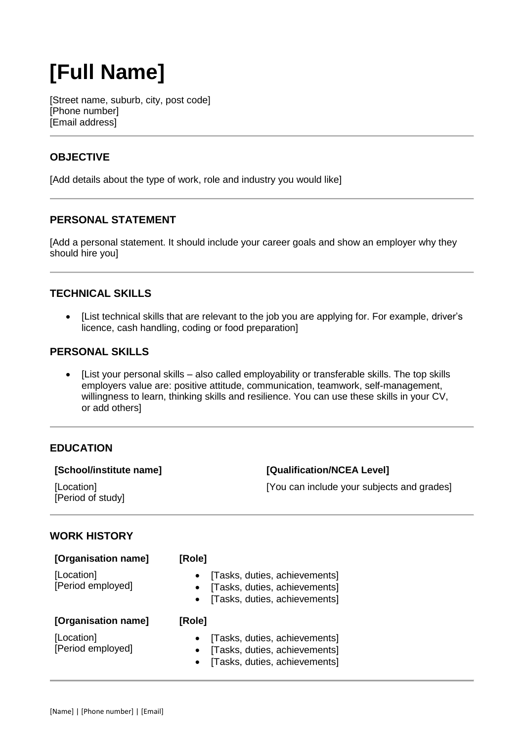# **[Full Name]**

[Street name, suburb, city, post code] [Phone number] [Email address]

# **OBJECTIVE**

[Add details about the type of work, role and industry you would like]

# **PERSONAL STATEMENT**

[Add a personal statement. It should include your career goals and show an employer why they should hire you]

## **TECHNICAL SKILLS**

 [List technical skills that are relevant to the job you are applying for. For example, driver's licence, cash handling, coding or food preparation]

### **PERSONAL SKILLS**

 [List your personal skills – also called employability or transferable skills. The top skills employers value are: positive attitude, communication, teamwork, self-management, willingness to learn, thinking skills and resilience. You can use these skills in your CV, or add others]

## **EDUCATION**

#### **[School/institute name]**

[Location] [Period of study] **[Qualification/NCEA Level]**

[You can include your subjects and grades]

## **WORK HISTORY**

| [Organisation name]             | [Role]                                                                                                       |
|---------------------------------|--------------------------------------------------------------------------------------------------------------|
| [Location]<br>[Period employed] | [Tasks, duties, achievements]<br>[Tasks, duties, achievements]<br>[Tasks, duties, achievements]<br>$\bullet$ |
| [Organisation name]             | [Role]                                                                                                       |
|                                 |                                                                                                              |